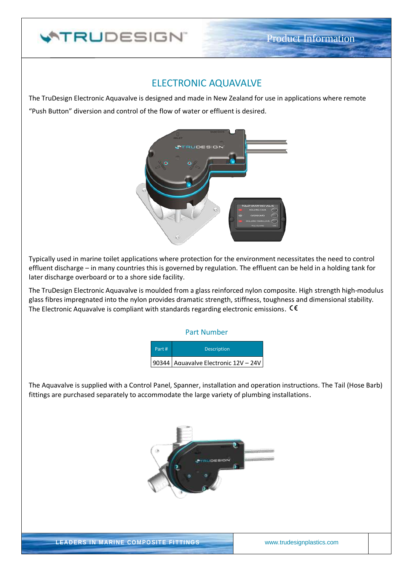# **ATRUDESIGN**

## ELECTRONIC AQUAVALVE

The TruDesign Electronic Aquavalve is designed and made in New Zealand for use in applications where remote "Push Button" diversion and control of the flow of water or effluent is desired.



Typically used in marine toilet applications where protection for the environment necessitates the need to control effluent discharge – in many countries this is governed by regulation. The effluent can be held in a holding tank for later discharge overboard or to a shore side facility.

The TruDesign Electronic Aquavalve is moulded from a glass reinforced nylon composite. High strength high-modulus glass fibres impregnated into the nylon provides dramatic strength, stiffness, toughness and dimensional stability. The Electronic Aquavalve is compliant with standards regarding electronic emissions.  $\mathsf{CE}$ 

#### Part Number



The Aquavalve is supplied with a Control Panel, Spanner, installation and operation instructions. The Tail (Hose Barb) fittings are purchased separately to accommodate the large variety of plumbing installations.



LEADERS IN MARINE COMPOSITE FITTINGS www.trudesignplastics.com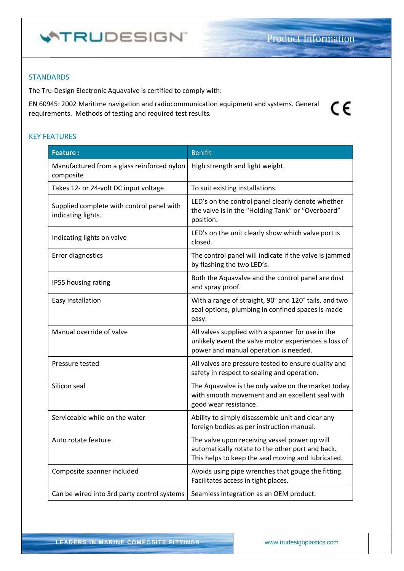$\epsilon$ 

#### **STANDARDS**

The Tru-Design Electronic Aquavalve is certified to comply with:

EN 60945: 2002 Maritime navigation and radiocommunication equipment and systems. General requirements. Methods of testing and required test results*.*

#### KEY FEATURES

| <b>Feature:</b>                                                 | <b>Benifit</b>                                                                                                                                          |  |
|-----------------------------------------------------------------|---------------------------------------------------------------------------------------------------------------------------------------------------------|--|
| Manufactured from a glass reinforced nylon<br>composite         | High strength and light weight.                                                                                                                         |  |
| Takes 12- or 24-volt DC input voltage.                          | To suit existing installations.                                                                                                                         |  |
| Supplied complete with control panel with<br>indicating lights. | LED's on the control panel clearly denote whether<br>the valve is in the "Holding Tank" or "Overboard"<br>position.                                     |  |
| Indicating lights on valve                                      | LED's on the unit clearly show which valve port is<br>closed.                                                                                           |  |
| <b>Error diagnostics</b>                                        | The control panel will indicate if the valve is jammed<br>by flashing the two LED's.                                                                    |  |
| IP55 housing rating                                             | Both the Aquavalve and the control panel are dust<br>and spray proof.                                                                                   |  |
| Easy installation                                               | With a range of straight, 90° and 120° tails, and two<br>seal options, plumbing in confined spaces is made<br>easy.                                     |  |
| Manual override of valve                                        | All valves supplied with a spanner for use in the<br>unlikely event the valve motor experiences a loss of<br>power and manual operation is needed.      |  |
| Pressure tested                                                 | All valves are pressure tested to ensure quality and<br>safety in respect to sealing and operation.                                                     |  |
| Silicon seal                                                    | The Aquavalve is the only valve on the market today<br>with smooth movement and an excellent seal with<br>good wear resistance.                         |  |
| Serviceable while on the water                                  | Ability to simply disassemble unit and clear any<br>foreign bodies as per instruction manual.                                                           |  |
| Auto rotate feature                                             | The valve upon receiving vessel power up will<br>automatically rotate to the other port and back.<br>This helps to keep the seal moving and lubricated. |  |
| Composite spanner included                                      | Avoids using pipe wrenches that gouge the fitting.<br>Facilitates access in tight places.                                                               |  |
| Can be wired into 3rd party control systems                     | Seamless integration as an OEM product.                                                                                                                 |  |

LEADERS IN MARINE COMPOSITE FITTINGS www.trudesignplastics.com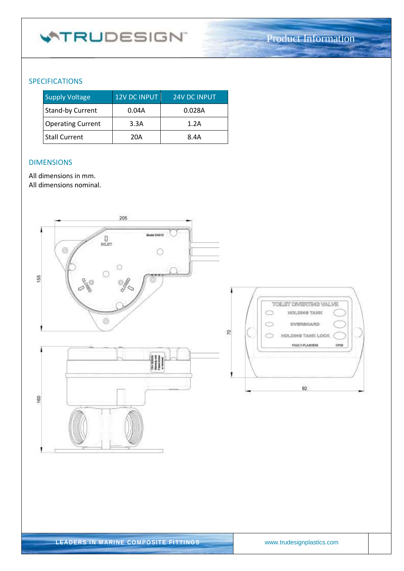# **WTRUDESIGN**

### SPECIFICATIONS

| <b>Supply Voltage</b>    | 12V DC INPUT | <b>24V DC INPUT</b> |
|--------------------------|--------------|---------------------|
| <b>Stand-by Current</b>  | 0.04A        | 0.028A              |
| <b>Operating Current</b> | 3.3A         | 1.2A                |
| <b>Stall Current</b>     | 20A          | 8.4A                |

#### DIMENSIONS

All dimensions in mm.

All dimensions nominal.